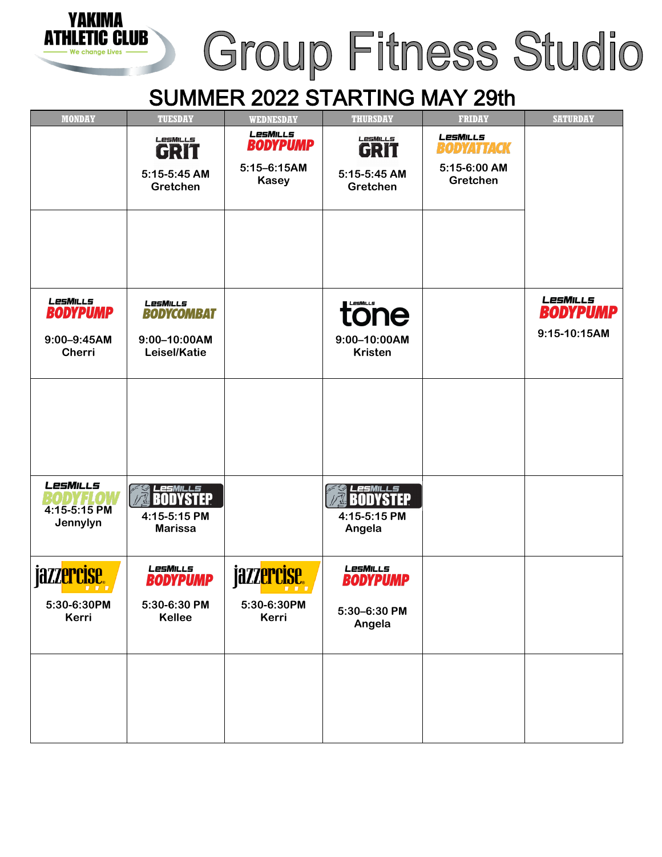## Group Fitness Studio

## SUMMER 2022 STARTING MAY 29th

VAKIMA

IC CLUB

атні

| <b>MONDAY</b>                                                   | <b>TUESDAY</b>                                                | <b>WEDNESDAY</b>                                               | <b>THURSDAY</b>                                       | <b>FRIDAY</b>                                                    | <b>SATURDAY</b>                                    |
|-----------------------------------------------------------------|---------------------------------------------------------------|----------------------------------------------------------------|-------------------------------------------------------|------------------------------------------------------------------|----------------------------------------------------|
|                                                                 | LESMILLS<br>GRIT<br>5:15-5:45 AM<br>Gretchen                  | LesMills<br><b>BODYPUMP</b><br>$5:15 - 6:15AM$<br><b>Kasey</b> | LesMILLS<br><b>GRIT</b><br>5:15-5:45 AM<br>Gretchen   | <b>LesMILLs</b><br><b>BODYATTACK</b><br>5:15-6:00 AM<br>Gretchen |                                                    |
| LesMills<br><b>BODYPUMP</b><br>$9:00 - 9:45AM$<br><b>Cherri</b> | LesMills<br><b>BODYCOMBAT</b><br>9:00-10:00AM<br>Leisel/Katie |                                                                | tone<br>9:00-10:00AM<br><b>Kristen</b>                |                                                                  | <b>LesMILLs</b><br><b>BODYPUMP</b><br>9:15-10:15AM |
|                                                                 |                                                               |                                                                |                                                       |                                                                  |                                                    |
| LesMills<br>4:15-5:15 PM<br>Jennylyn                            | <i>LesMILLS</i><br>BODYSTEP<br>4:15-5:15 PM<br><b>Marissa</b> |                                                                | LesMILLS<br>BODYSTEP<br>4:15-5:15 PM<br>Angela        |                                                                  |                                                    |
| jazz <mark>ercise.</mark><br>5:30-6:30PM<br>Kerri               | LesMills<br><b>BODYPUMP</b><br>5:30-6:30 PM<br>Kellee         | jazz <mark>ercise.</mark><br>5:30-6:30PM<br>Kerri              | LesMills<br><b>BODYPUMP</b><br>5:30-6:30 PM<br>Angela |                                                                  |                                                    |
|                                                                 |                                                               |                                                                |                                                       |                                                                  |                                                    |